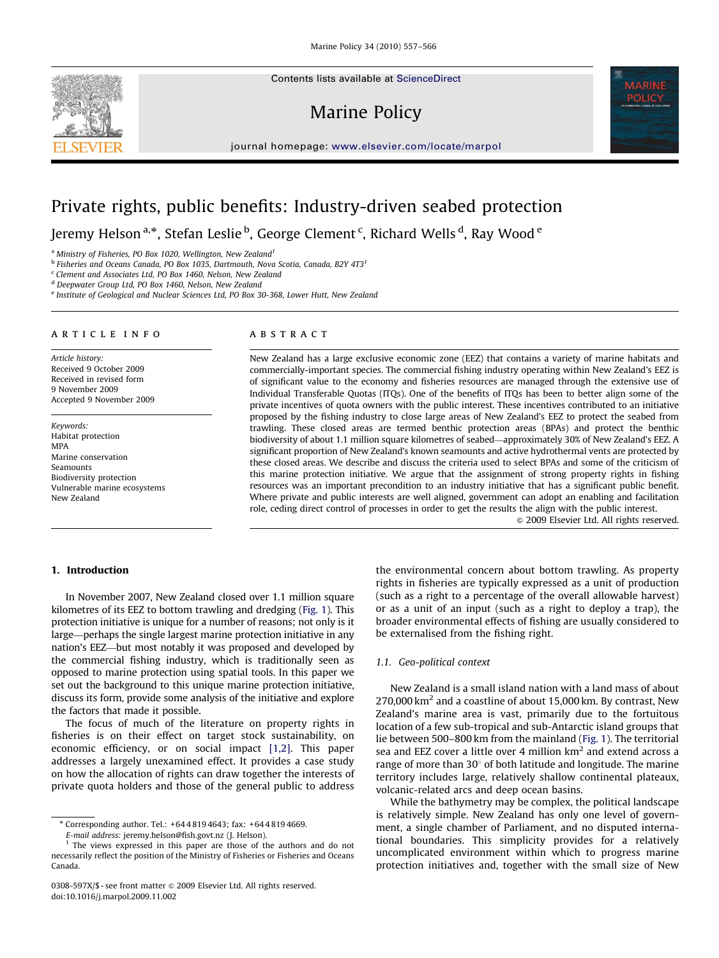Contents lists available at ScienceDirect

# Marine Policy

journal homepage: <www.elsevier.com/locate/marpol>

# Private rights, public benefits: Industry-driven seabed protection

Jeremy Helson<sup>a,</sup>\*, Stefan Leslie <sup>b</sup>, George Clement <sup>c</sup>, Richard Wells <sup>d</sup>, Ray Wood <sup>e</sup>

 $a<sup>a</sup>$  Ministry of Fisheries, PO Box 1020, Wellington, New Zealand<sup>1</sup>

b Fisheries and Oceans Canada, PO Box 1035, Dartmouth, Nova Scotia, Canada, B2Y 4T3<sup>1</sup>

<sup>c</sup> Clement and Associates Ltd, PO Box 1460, Nelson, New Zealand

<sup>d</sup> Deepwater Group Ltd, PO Box 1460, Nelson, New Zealand

<sup>e</sup> Institute of Geological and Nuclear Sciences Ltd, PO Box 30-368, Lower Hutt, New Zealand

#### article info

Article history: Received 9 October 2009 Received in revised form 9 November 2009 Accepted 9 November 2009

Keywords: Habitat protection MPA Marine conservation Seamounts Biodiversity protection Vulnerable marine ecosystems New Zealand

## **ABSTRACT**

New Zealand has a large exclusive economic zone (EEZ) that contains a variety of marine habitats and commercially-important species. The commercial fishing industry operating within New Zealand's EEZ is of significant value to the economy and fisheries resources are managed through the extensive use of Individual Transferable Quotas (ITQs). One of the benefits of ITQs has been to better align some of the private incentives of quota owners with the public interest. These incentives contributed to an initiative proposed by the fishing industry to close large areas of New Zealand's EEZ to protect the seabed from trawling. These closed areas are termed benthic protection areas (BPAs) and protect the benthic biodiversity of about 1.1 million square kilometres of seabed—approximately 30% of New Zealand's EEZ. A significant proportion of New Zealand's known seamounts and active hydrothermal vents are protected by these closed areas. We describe and discuss the criteria used to select BPAs and some of the criticism of this marine protection initiative. We argue that the assignment of strong property rights in fishing resources was an important precondition to an industry initiative that has a significant public benefit. Where private and public interests are well aligned, government can adopt an enabling and facilitation role, ceding direct control of processes in order to get the results the align with the public interest.

 $© 2009$  Elsevier Ltd. All rights reserved.

## 1. Introduction

In November 2007, New Zealand closed over 1.1 million square kilometres of its EEZ to bottom trawling and dredging ([Fig. 1\)](#page-1-0). This protection initiative is unique for a number of reasons; not only is it large—perhaps the single largest marine protection initiative in any nation's EEZ—but most notably it was proposed and developed by the commercial fishing industry, which is traditionally seen as opposed to marine protection using spatial tools. In this paper we set out the background to this unique marine protection initiative, discuss its form, provide some analysis of the initiative and explore the factors that made it possible.

The focus of much of the literature on property rights in fisheries is on their effect on target stock sustainability, on economic efficiency, or on social impact [\[1,2\].](#page-9-0) This paper addresses a largely unexamined effect. It provides a case study on how the allocation of rights can draw together the interests of private quota holders and those of the general public to address

the environmental concern about bottom trawling. As property rights in fisheries are typically expressed as a unit of production (such as a right to a percentage of the overall allowable harvest) or as a unit of an input (such as a right to deploy a trap), the broader environmental effects of fishing are usually considered to be externalised from the fishing right.

# 1.1. Geo-political context

New Zealand is a small island nation with a land mass of about  $270,000$  km<sup>2</sup> and a coastline of about 15,000 km. By contrast, New Zealand's marine area is vast, primarily due to the fortuitous location of a few sub-tropical and sub-Antarctic island groups that lie between 500–800 km from the mainland ([Fig. 1\)](#page-1-0). The territorial sea and EEZ cover a little over 4 million  $km<sup>2</sup>$  and extend across a range of more than  $30^{\circ}$  of both latitude and longitude. The marine territory includes large, relatively shallow continental plateaux, volcanic-related arcs and deep ocean basins.

While the bathymetry may be complex, the political landscape is relatively simple. New Zealand has only one level of government, a single chamber of Parliament, and no disputed international boundaries. This simplicity provides for a relatively uncomplicated environment within which to progress marine protection initiatives and, together with the small size of New



<sup>-</sup> Corresponding author. Tel.: +64 4 819 4643; fax: +64 4 819 4669. E-mail address: [jeremy.helson@fish.govt.nz \(J. Helson\).](mailto:jeremy.helson@fish.govt.nz)

<sup>&</sup>lt;sup>1</sup> The views expressed in this paper are those of the authors and do not necessarily reflect the position of the Ministry of Fisheries or Fisheries and Oceans Canada.

<sup>0308-597</sup>X/\$ - see front matter  $\circ$  2009 Elsevier Ltd. All rights reserved. doi:[10.1016/j.marpol.2009.11.002](dx.doi.org/10.1016/j.marpol.2009.11.002)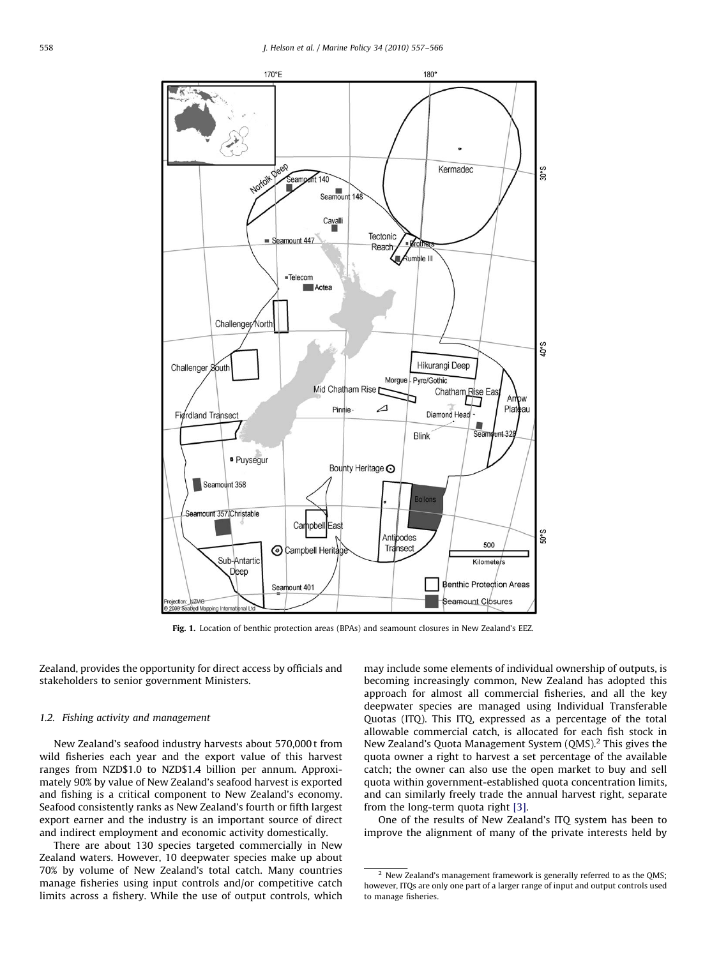<span id="page-1-0"></span>

Fig. 1. Location of benthic protection areas (BPAs) and seamount closures in New Zealand's EEZ.

Zealand, provides the opportunity for direct access by officials and stakeholders to senior government Ministers.

## 1.2. Fishing activity and management

New Zealand's seafood industry harvests about 570,000 t from wild fisheries each year and the export value of this harvest ranges from NZD\$1.0 to NZD\$1.4 billion per annum. Approximately 90% by value of New Zealand's seafood harvest is exported and fishing is a critical component to New Zealand's economy. Seafood consistently ranks as New Zealand's fourth or fifth largest export earner and the industry is an important source of direct and indirect employment and economic activity domestically.

There are about 130 species targeted commercially in New Zealand waters. However, 10 deepwater species make up about 70% by volume of New Zealand's total catch. Many countries manage fisheries using input controls and/or competitive catch limits across a fishery. While the use of output controls, which may include some elements of individual ownership of outputs, is becoming increasingly common, New Zealand has adopted this approach for almost all commercial fisheries, and all the key deepwater species are managed using Individual Transferable Quotas (ITQ). This ITQ, expressed as a percentage of the total allowable commercial catch, is allocated for each fish stock in New Zealand's Quota Management System (QMS).<sup>2</sup> This gives the quota owner a right to harvest a set percentage of the available catch; the owner can also use the open market to buy and sell quota within government-established quota concentration limits, and can similarly freely trade the annual harvest right, separate from the long-term quota right [\[3\]](#page-9-0).

One of the results of New Zealand's ITQ system has been to improve the alignment of many of the private interests held by

 $2$  New Zealand's management framework is generally referred to as the QMS; however, ITQs are only one part of a larger range of input and output controls used to manage fisheries.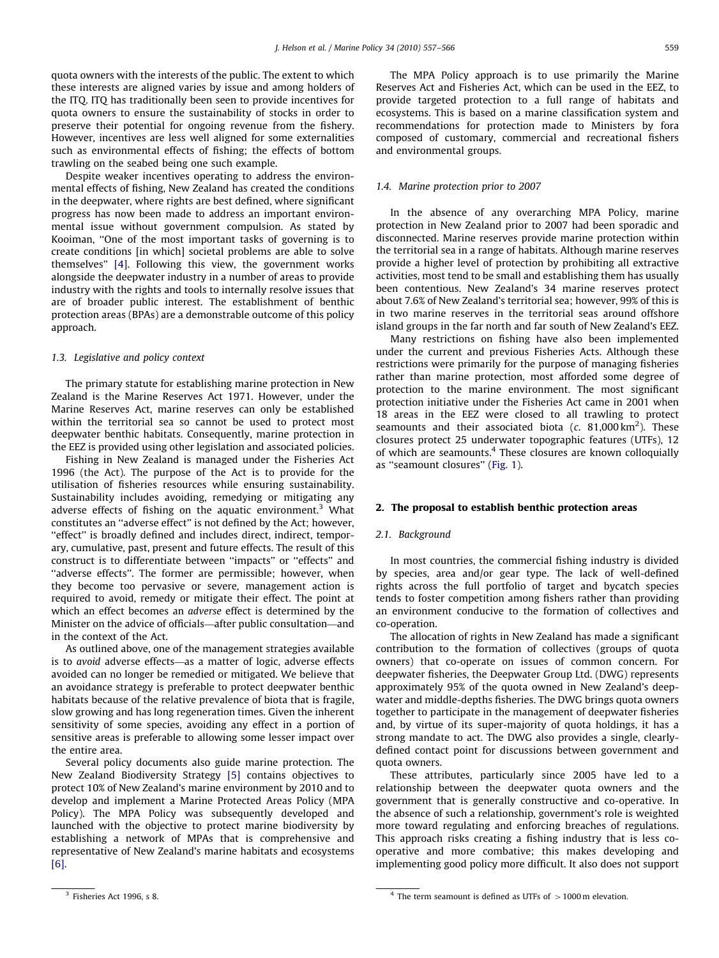quota owners with the interests of the public. The extent to which these interests are aligned varies by issue and among holders of the ITQ. ITQ has traditionally been seen to provide incentives for quota owners to ensure the sustainability of stocks in order to preserve their potential for ongoing revenue from the fishery. However, incentives are less well aligned for some externalities such as environmental effects of fishing; the effects of bottom trawling on the seabed being one such example.

Despite weaker incentives operating to address the environmental effects of fishing, New Zealand has created the conditions in the deepwater, where rights are best defined, where significant progress has now been made to address an important environmental issue without government compulsion. As stated by Kooiman, ''One of the most important tasks of governing is to create conditions [in which] societal problems are able to solve themselves'' [\[4\].](#page-9-0) Following this view, the government works alongside the deepwater industry in a number of areas to provide industry with the rights and tools to internally resolve issues that are of broader public interest. The establishment of benthic protection areas (BPAs) are a demonstrable outcome of this policy approach.

## 1.3. Legislative and policy context

The primary statute for establishing marine protection in New Zealand is the Marine Reserves Act 1971. However, under the Marine Reserves Act, marine reserves can only be established within the territorial sea so cannot be used to protect most deepwater benthic habitats. Consequently, marine protection in the EEZ is provided using other legislation and associated policies.

Fishing in New Zealand is managed under the Fisheries Act 1996 (the Act). The purpose of the Act is to provide for the utilisation of fisheries resources while ensuring sustainability. Sustainability includes avoiding, remedying or mitigating any adverse effects of fishing on the aquatic environment.<sup>3</sup> What constitutes an ''adverse effect'' is not defined by the Act; however, ''effect'' is broadly defined and includes direct, indirect, temporary, cumulative, past, present and future effects. The result of this construct is to differentiate between ''impacts'' or ''effects'' and ''adverse effects''. The former are permissible; however, when they become too pervasive or severe, management action is required to avoid, remedy or mitigate their effect. The point at which an effect becomes an adverse effect is determined by the Minister on the advice of officials—after public consultation—and in the context of the Act.

As outlined above, one of the management strategies available is to avoid adverse effects—as a matter of logic, adverse effects avoided can no longer be remedied or mitigated. We believe that an avoidance strategy is preferable to protect deepwater benthic habitats because of the relative prevalence of biota that is fragile, slow growing and has long regeneration times. Given the inherent sensitivity of some species, avoiding any effect in a portion of sensitive areas is preferable to allowing some lesser impact over the entire area.

Several policy documents also guide marine protection. The New Zealand Biodiversity Strategy [\[5\]](#page-9-0) contains objectives to protect 10% of New Zealand's marine environment by 2010 and to develop and implement a Marine Protected Areas Policy (MPA Policy). The MPA Policy was subsequently developed and launched with the objective to protect marine biodiversity by establishing a network of MPAs that is comprehensive and representative of New Zealand's marine habitats and ecosystems [\[6\]](#page-9-0).

The MPA Policy approach is to use primarily the Marine Reserves Act and Fisheries Act, which can be used in the EEZ, to provide targeted protection to a full range of habitats and ecosystems. This is based on a marine classification system and recommendations for protection made to Ministers by fora composed of customary, commercial and recreational fishers and environmental groups.

#### 1.4. Marine protection prior to 2007

In the absence of any overarching MPA Policy, marine protection in New Zealand prior to 2007 had been sporadic and disconnected. Marine reserves provide marine protection within the territorial sea in a range of habitats. Although marine reserves provide a higher level of protection by prohibiting all extractive activities, most tend to be small and establishing them has usually been contentious. New Zealand's 34 marine reserves protect about 7.6% of New Zealand's territorial sea; however, 99% of this is in two marine reserves in the territorial seas around offshore island groups in the far north and far south of New Zealand's EEZ.

Many restrictions on fishing have also been implemented under the current and previous Fisheries Acts. Although these restrictions were primarily for the purpose of managing fisheries rather than marine protection, most afforded some degree of protection to the marine environment. The most significant protection initiative under the Fisheries Act came in 2001 when 18 areas in the EEZ were closed to all trawling to protect seamounts and their associated biota  $(c. 81,000 \text{ km}^2)$ . These closures protect 25 underwater topographic features (UTFs), 12 of which are seamounts.4 These closures are known colloquially as ''seamount closures'' ([Fig. 1](#page-1-0)).

## 2. The proposal to establish benthic protection areas

## 2.1. Background

In most countries, the commercial fishing industry is divided by species, area and/or gear type. The lack of well-defined rights across the full portfolio of target and bycatch species tends to foster competition among fishers rather than providing an environment conducive to the formation of collectives and co-operation.

The allocation of rights in New Zealand has made a significant contribution to the formation of collectives (groups of quota owners) that co-operate on issues of common concern. For deepwater fisheries, the Deepwater Group Ltd. (DWG) represents approximately 95% of the quota owned in New Zealand's deepwater and middle-depths fisheries. The DWG brings quota owners together to participate in the management of deepwater fisheries and, by virtue of its super-majority of quota holdings, it has a strong mandate to act. The DWG also provides a single, clearlydefined contact point for discussions between government and quota owners.

These attributes, particularly since 2005 have led to a relationship between the deepwater quota owners and the government that is generally constructive and co-operative. In the absence of such a relationship, government's role is weighted more toward regulating and enforcing breaches of regulations. This approach risks creating a fishing industry that is less cooperative and more combative; this makes developing and implementing good policy more difficult. It also does not support

<sup>&</sup>lt;sup>3</sup> Fisheries Act 1996, s 8.  $\frac{4}{100}$  The term seamount is defined as UTFs of  $> 1000$  m elevation.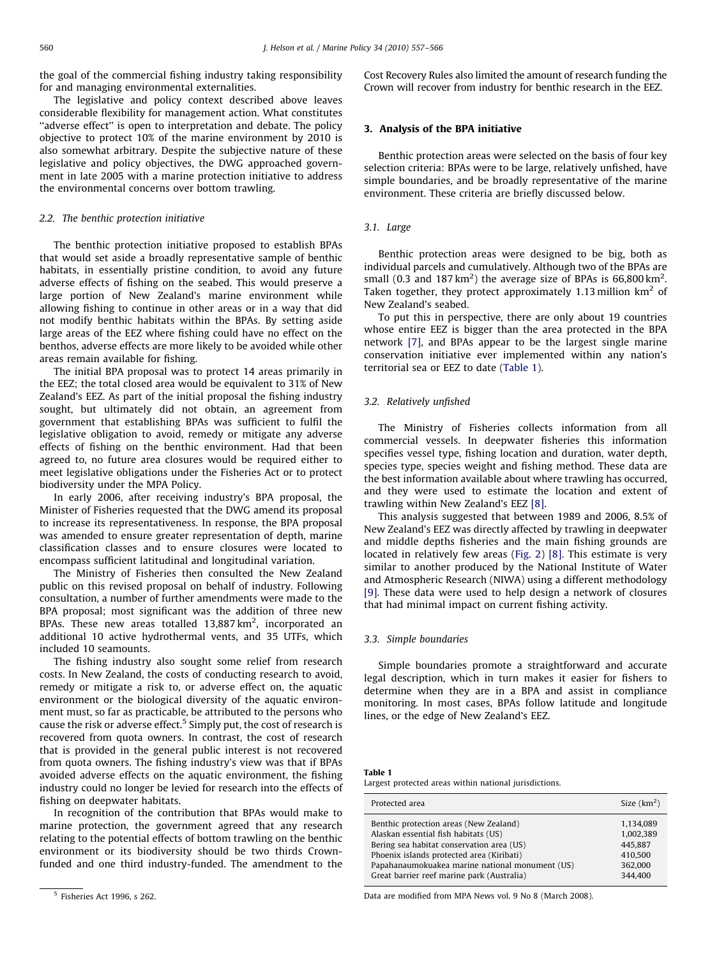the goal of the commercial fishing industry taking responsibility for and managing environmental externalities.

The legislative and policy context described above leaves considerable flexibility for management action. What constitutes ''adverse effect'' is open to interpretation and debate. The policy objective to protect 10% of the marine environment by 2010 is also somewhat arbitrary. Despite the subjective nature of these legislative and policy objectives, the DWG approached government in late 2005 with a marine protection initiative to address the environmental concerns over bottom trawling.

## 2.2. The benthic protection initiative

The benthic protection initiative proposed to establish BPAs that would set aside a broadly representative sample of benthic habitats, in essentially pristine condition, to avoid any future adverse effects of fishing on the seabed. This would preserve a large portion of New Zealand's marine environment while allowing fishing to continue in other areas or in a way that did not modify benthic habitats within the BPAs. By setting aside large areas of the EEZ where fishing could have no effect on the benthos, adverse effects are more likely to be avoided while other areas remain available for fishing.

The initial BPA proposal was to protect 14 areas primarily in the EEZ; the total closed area would be equivalent to 31% of New Zealand's EEZ. As part of the initial proposal the fishing industry sought, but ultimately did not obtain, an agreement from government that establishing BPAs was sufficient to fulfil the legislative obligation to avoid, remedy or mitigate any adverse effects of fishing on the benthic environment. Had that been agreed to, no future area closures would be required either to meet legislative obligations under the Fisheries Act or to protect biodiversity under the MPA Policy.

In early 2006, after receiving industry's BPA proposal, the Minister of Fisheries requested that the DWG amend its proposal to increase its representativeness. In response, the BPA proposal was amended to ensure greater representation of depth, marine classification classes and to ensure closures were located to encompass sufficient latitudinal and longitudinal variation.

The Ministry of Fisheries then consulted the New Zealand public on this revised proposal on behalf of industry. Following consultation, a number of further amendments were made to the BPA proposal; most significant was the addition of three new BPAs. These new areas totalled  $13,887 \mathrm{km^2}$ , incorporated an additional 10 active hydrothermal vents, and 35 UTFs, which included 10 seamounts.

The fishing industry also sought some relief from research costs. In New Zealand, the costs of conducting research to avoid, remedy or mitigate a risk to, or adverse effect on, the aquatic environment or the biological diversity of the aquatic environment must, so far as practicable, be attributed to the persons who cause the risk or adverse effect.<sup>5</sup> Simply put, the cost of research is recovered from quota owners. In contrast, the cost of research that is provided in the general public interest is not recovered from quota owners. The fishing industry's view was that if BPAs avoided adverse effects on the aquatic environment, the fishing industry could no longer be levied for research into the effects of fishing on deepwater habitats.

In recognition of the contribution that BPAs would make to marine protection, the government agreed that any research relating to the potential effects of bottom trawling on the benthic environment or its biodiversity should be two thirds Crownfunded and one third industry-funded. The amendment to the Cost Recovery Rules also limited the amount of research funding the Crown will recover from industry for benthic research in the EEZ.

## 3. Analysis of the BPA initiative

Benthic protection areas were selected on the basis of four key selection criteria: BPAs were to be large, relatively unfished, have simple boundaries, and be broadly representative of the marine environment. These criteria are briefly discussed below.

## 3.1. Large

Benthic protection areas were designed to be big, both as individual parcels and cumulatively. Although two of the BPAs are small (0.3 and  $187 \text{ km}^2$ ) the average size of BPAs is 66,800 km<sup>2</sup>. Taken together, they protect approximately 1.13 million  $km<sup>2</sup>$  of New Zealand's seabed.

To put this in perspective, there are only about 19 countries whose entire EEZ is bigger than the area protected in the BPA network [\[7\],](#page-9-0) and BPAs appear to be the largest single marine conservation initiative ever implemented within any nation's territorial sea or EEZ to date (Table 1).

## 3.2. Relatively unfished

The Ministry of Fisheries collects information from all commercial vessels. In deepwater fisheries this information specifies vessel type, fishing location and duration, water depth, species type, species weight and fishing method. These data are the best information available about where trawling has occurred, and they were used to estimate the location and extent of trawling within New Zealand's EEZ [\[8\].](#page-9-0)

This analysis suggested that between 1989 and 2006, 8.5% of New Zealand's EEZ was directly affected by trawling in deepwater and middle depths fisheries and the main fishing grounds are located in relatively few areas ([Fig. 2](#page-4-0)) [\[8\].](#page-9-0) This estimate is very similar to another produced by the National Institute of Water and Atmospheric Research (NIWA) using a different methodology [\[9\].](#page-9-0) These data were used to help design a network of closures that had minimal impact on current fishing activity.

## 3.3. Simple boundaries

Simple boundaries promote a straightforward and accurate legal description, which in turn makes it easier for fishers to determine when they are in a BPA and assist in compliance monitoring. In most cases, BPAs follow latitude and longitude lines, or the edge of New Zealand's EEZ.

#### Table 1

Largest protected areas within national jurisdictions.

| Protected area                                  | Size $(km^2)$ |
|-------------------------------------------------|---------------|
| Benthic protection areas (New Zealand)          | 1.134.089     |
| Alaskan essential fish habitats (US)            | 1.002.389     |
| Bering sea habitat conservation area (US)       | 445.887       |
| Phoenix islands protected area (Kiribati)       | 410,500       |
| Papahanaumokuakea marine national monument (US) | 362,000       |
| Great barrier reef marine park (Australia)      | 344.400       |

Data are modified from MPA News vol. 9 No 8 (March 2008). <sup>5</sup> Fisheries Act 1996, s 262.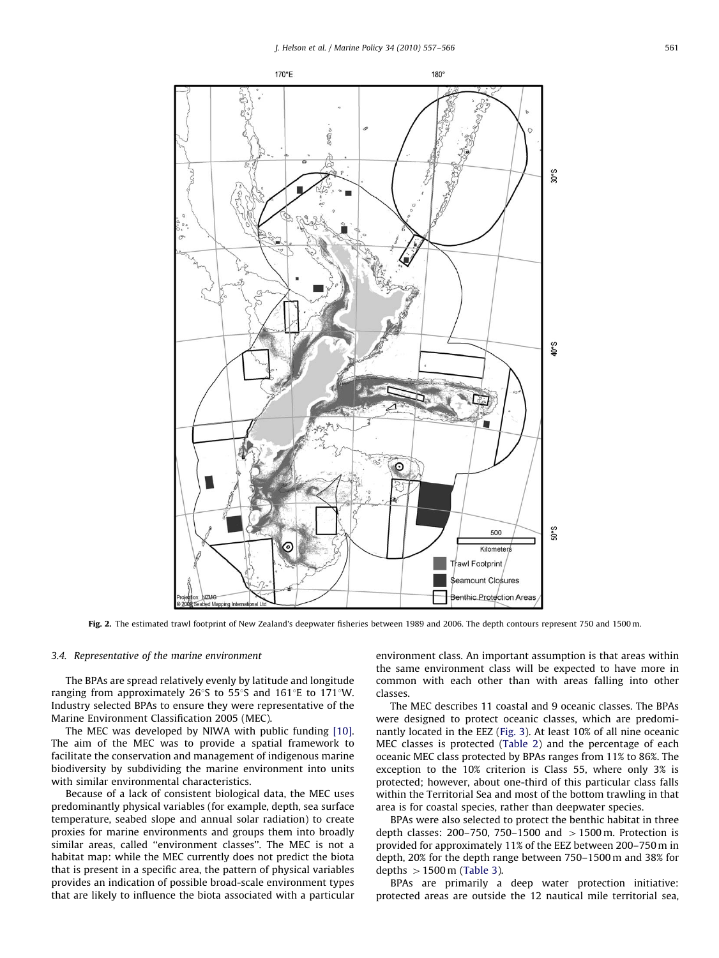<span id="page-4-0"></span>

Fig. 2. The estimated trawl footprint of New Zealand's deepwater fisheries between 1989 and 2006. The depth contours represent 750 and 1500 m.

## 3.4. Representative of the marine environment

The BPAs are spread relatively evenly by latitude and longitude ranging from approximately 26°S to 55°S and 161°E to 171°W. Industry selected BPAs to ensure they were representative of the Marine Environment Classification 2005 (MEC).

The MEC was developed by NIWA with public funding [\[10\].](#page-9-0) The aim of the MEC was to provide a spatial framework to facilitate the conservation and management of indigenous marine biodiversity by subdividing the marine environment into units with similar environmental characteristics.

Because of a lack of consistent biological data, the MEC uses predominantly physical variables (for example, depth, sea surface temperature, seabed slope and annual solar radiation) to create proxies for marine environments and groups them into broadly similar areas, called ''environment classes''. The MEC is not a habitat map: while the MEC currently does not predict the biota that is present in a specific area, the pattern of physical variables provides an indication of possible broad-scale environment types that are likely to influence the biota associated with a particular environment class. An important assumption is that areas within the same environment class will be expected to have more in common with each other than with areas falling into other classes.

The MEC describes 11 coastal and 9 oceanic classes. The BPAs were designed to protect oceanic classes, which are predominantly located in the EEZ [\(Fig. 3](#page-5-0)). At least 10% of all nine oceanic MEC classes is protected ([Table 2](#page-5-0)) and the percentage of each oceanic MEC class protected by BPAs ranges from 11% to 86%. The exception to the 10% criterion is Class 55, where only 3% is protected; however, about one-third of this particular class falls within the Territorial Sea and most of the bottom trawling in that area is for coastal species, rather than deepwater species.

BPAs were also selected to protect the benthic habitat in three depth classes: 200–750, 750–1500 and  $> 1500$  m. Protection is provided for approximately 11% of the EEZ between 200–750 m in depth, 20% for the depth range between 750–1500 m and 38% for depths  $>1500$  m [\(Table 3](#page-6-0)).

BPAs are primarily a deep water protection initiative: protected areas are outside the 12 nautical mile territorial sea,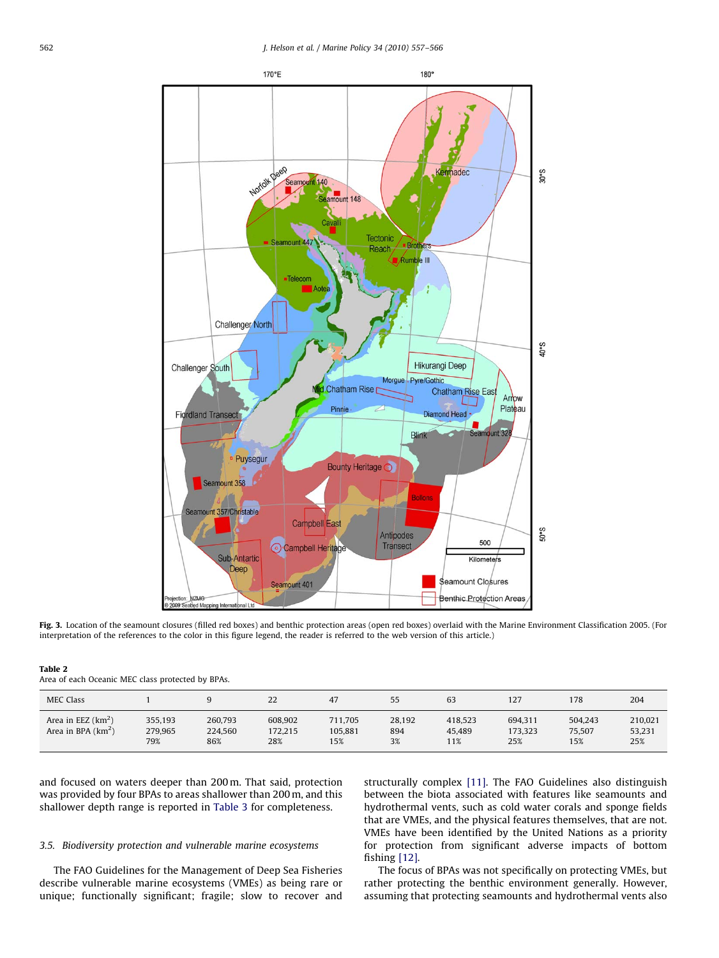<span id="page-5-0"></span>

Fig. 3. Location of the seamount closures (filled red boxes) and benthic protection areas (open red boxes) overlaid with the Marine Environment Classification 2005. (For interpretation of the references to the color in this figure legend, the reader is referred to the web version of this article.)

#### Table 2

Area of each Oceanic MEC class protected by BPAs.

| <b>MEC Class</b>                            |                           |                           | 22                        | 47                        | 55                  | 63                       | 127                       | 178                      | 204                      |
|---------------------------------------------|---------------------------|---------------------------|---------------------------|---------------------------|---------------------|--------------------------|---------------------------|--------------------------|--------------------------|
| Area in EEZ $(km2)$<br>Area in BPA $(km^2)$ | 355,193<br>279,965<br>79% | 260,793<br>224,560<br>86% | 608,902<br>172,215<br>28% | 711,705<br>105.881<br>15% | 28,192<br>894<br>3% | 418,523<br>45.489<br>11% | 694,311<br>173,323<br>25% | 504.243<br>75,507<br>15% | 210,021<br>53,231<br>25% |

and focused on waters deeper than 200 m. That said, protection was provided by four BPAs to areas shallower than 200 m, and this shallower depth range is reported in [Table 3](#page-6-0) for completeness.

## 3.5. Biodiversity protection and vulnerable marine ecosystems

The FAO Guidelines for the Management of Deep Sea Fisheries describe vulnerable marine ecosystems (VMEs) as being rare or unique; functionally significant; fragile; slow to recover and

structurally complex [\[11\].](#page-9-0) The FAO Guidelines also distinguish between the biota associated with features like seamounts and hydrothermal vents, such as cold water corals and sponge fields that are VMEs, and the physical features themselves, that are not. VMEs have been identified by the United Nations as a priority for protection from significant adverse impacts of bottom fishing [\[12\]](#page-9-0).

The focus of BPAs was not specifically on protecting VMEs, but rather protecting the benthic environment generally. However, assuming that protecting seamounts and hydrothermal vents also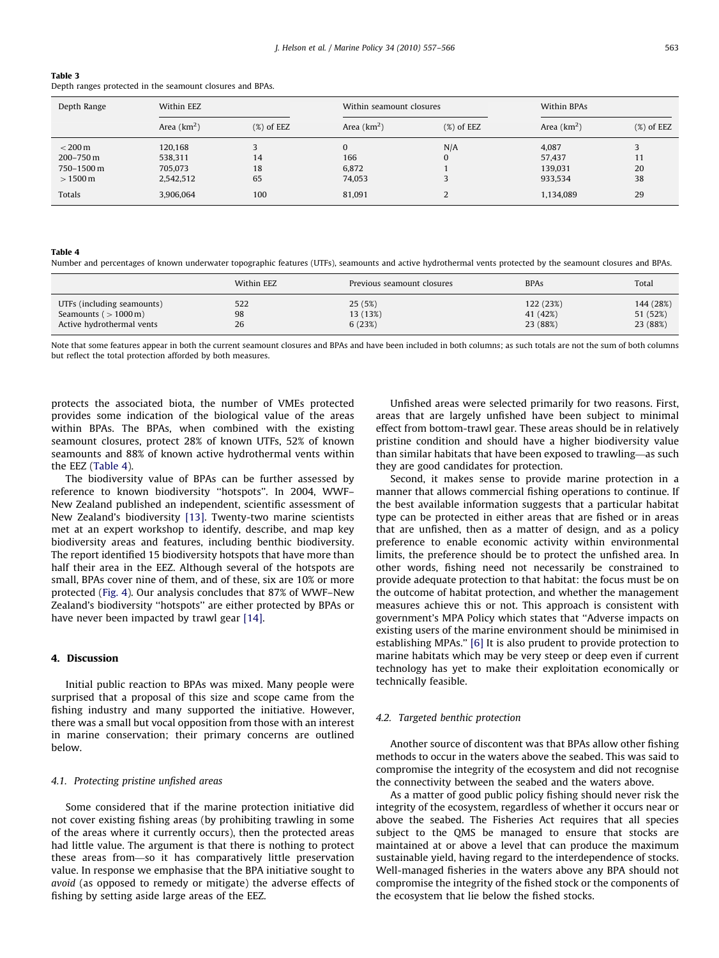## <span id="page-6-0"></span>Table 3

Depth ranges protected in the seamount closures and BPAs.

| Depth Range                                         | Within EEZ                    |               | Within seamount closures |               | Within BPAs                |               |  |
|-----------------------------------------------------|-------------------------------|---------------|--------------------------|---------------|----------------------------|---------------|--|
|                                                     | Area $(km2)$                  | $(\%)$ of EEZ | Area $(km2)$             | $(\%)$ of EEZ | Area $(km2)$               | $(\%)$ of EEZ |  |
| $< 200 \,\mathrm{m}$<br>$200 - 750$ m<br>750-1500 m | 120,168<br>538,311<br>705,073 | 14<br>18      | 0<br>166<br>6.872        | N/A<br>0      | 4,087<br>57.437<br>139,031 | 3<br>11<br>20 |  |
| $>1500 \,\mathrm{m}$                                | 2,542,512                     | 65            | 74,053                   |               | 933,534                    | 38            |  |
| <b>Totals</b>                                       | 3.906.064                     | 100           | 81.091                   |               | 1,134,089                  | 29            |  |

#### Table 4

Number and percentages of known underwater topographic features (UTFs), seamounts and active hydrothermal vents protected by the seamount closures and BPAs.

|                            | Within EEZ | Previous seamount closures | <b>BPAs</b> | Total     |
|----------------------------|------------|----------------------------|-------------|-----------|
| UTFs (including seamounts) | 522        | 25(5%)                     | 122 (23%)   | 144 (28%) |
| Seamounts ( $>1000$ m)     | 98         | 13 (13%)                   | 41 (42%)    | 51 (52%)  |
| Active hydrothermal vents  | 26         | 6(23%)                     | 23 (88%)    | 23 (88%)  |

Note that some features appear in both the current seamount closures and BPAs and have been included in both columns; as such totals are not the sum of both columns but reflect the total protection afforded by both measures.

protects the associated biota, the number of VMEs protected provides some indication of the biological value of the areas within BPAs. The BPAs, when combined with the existing seamount closures, protect 28% of known UTFs, 52% of known seamounts and 88% of known active hydrothermal vents within the EEZ (Table 4).

The biodiversity value of BPAs can be further assessed by reference to known biodiversity ''hotspots''. In 2004, WWF– New Zealand published an independent, scientific assessment of New Zealand's biodiversity [\[13\]](#page-9-0). Twenty-two marine scientists met at an expert workshop to identify, describe, and map key biodiversity areas and features, including benthic biodiversity. The report identified 15 biodiversity hotspots that have more than half their area in the EEZ. Although several of the hotspots are small, BPAs cover nine of them, and of these, six are 10% or more protected ([Fig. 4\)](#page-7-0). Our analysis concludes that 87% of WWF–New Zealand's biodiversity ''hotspots'' are either protected by BPAs or have never been impacted by trawl gear [\[14\]](#page-9-0).

# 4. Discussion

Initial public reaction to BPAs was mixed. Many people were surprised that a proposal of this size and scope came from the fishing industry and many supported the initiative. However, there was a small but vocal opposition from those with an interest in marine conservation; their primary concerns are outlined below.

## 4.1. Protecting pristine unfished areas

Some considered that if the marine protection initiative did not cover existing fishing areas (by prohibiting trawling in some of the areas where it currently occurs), then the protected areas had little value. The argument is that there is nothing to protect these areas from—so it has comparatively little preservation value. In response we emphasise that the BPA initiative sought to avoid (as opposed to remedy or mitigate) the adverse effects of fishing by setting aside large areas of the EEZ.

Unfished areas were selected primarily for two reasons. First, areas that are largely unfished have been subject to minimal effect from bottom-trawl gear. These areas should be in relatively pristine condition and should have a higher biodiversity value than similar habitats that have been exposed to trawling—as such they are good candidates for protection.

Second, it makes sense to provide marine protection in a manner that allows commercial fishing operations to continue. If the best available information suggests that a particular habitat type can be protected in either areas that are fished or in areas that are unfished, then as a matter of design, and as a policy preference to enable economic activity within environmental limits, the preference should be to protect the unfished area. In other words, fishing need not necessarily be constrained to provide adequate protection to that habitat: the focus must be on the outcome of habitat protection, and whether the management measures achieve this or not. This approach is consistent with government's MPA Policy which states that ''Adverse impacts on existing users of the marine environment should be minimised in establishing MPAs.'' [\[6\]](#page-9-0) It is also prudent to provide protection to marine habitats which may be very steep or deep even if current technology has yet to make their exploitation economically or technically feasible.

## 4.2. Targeted benthic protection

Another source of discontent was that BPAs allow other fishing methods to occur in the waters above the seabed. This was said to compromise the integrity of the ecosystem and did not recognise the connectivity between the seabed and the waters above.

As a matter of good public policy fishing should never risk the integrity of the ecosystem, regardless of whether it occurs near or above the seabed. The Fisheries Act requires that all species subject to the QMS be managed to ensure that stocks are maintained at or above a level that can produce the maximum sustainable yield, having regard to the interdependence of stocks. Well-managed fisheries in the waters above any BPA should not compromise the integrity of the fished stock or the components of the ecosystem that lie below the fished stocks.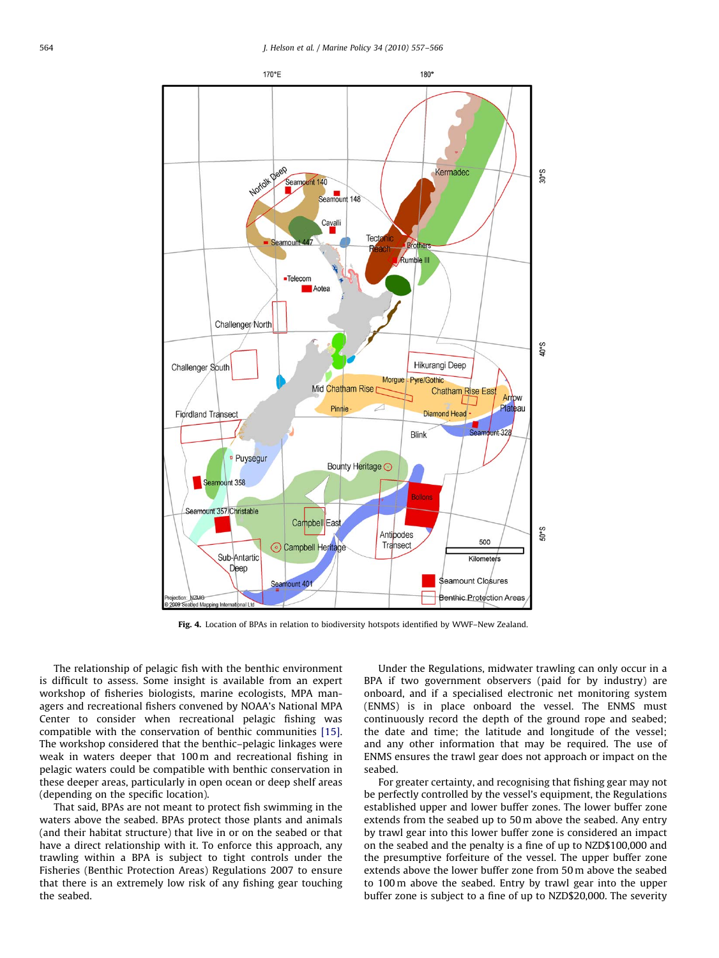<span id="page-7-0"></span>

Fig. 4. Location of BPAs in relation to biodiversity hotspots identified by WWF–New Zealand.

The relationship of pelagic fish with the benthic environment is difficult to assess. Some insight is available from an expert workshop of fisheries biologists, marine ecologists, MPA managers and recreational fishers convened by NOAA's National MPA Center to consider when recreational pelagic fishing was compatible with the conservation of benthic communities [\[15\].](#page-9-0) The workshop considered that the benthic–pelagic linkages were weak in waters deeper that 100 m and recreational fishing in pelagic waters could be compatible with benthic conservation in these deeper areas, particularly in open ocean or deep shelf areas (depending on the specific location).

That said, BPAs are not meant to protect fish swimming in the waters above the seabed. BPAs protect those plants and animals (and their habitat structure) that live in or on the seabed or that have a direct relationship with it. To enforce this approach, any trawling within a BPA is subject to tight controls under the Fisheries (Benthic Protection Areas) Regulations 2007 to ensure that there is an extremely low risk of any fishing gear touching the seabed.

Under the Regulations, midwater trawling can only occur in a BPA if two government observers (paid for by industry) are onboard, and if a specialised electronic net monitoring system (ENMS) is in place onboard the vessel. The ENMS must continuously record the depth of the ground rope and seabed; the date and time; the latitude and longitude of the vessel; and any other information that may be required. The use of ENMS ensures the trawl gear does not approach or impact on the seabed.

For greater certainty, and recognising that fishing gear may not be perfectly controlled by the vessel's equipment, the Regulations established upper and lower buffer zones. The lower buffer zone extends from the seabed up to 50 m above the seabed. Any entry by trawl gear into this lower buffer zone is considered an impact on the seabed and the penalty is a fine of up to NZD\$100,000 and the presumptive forfeiture of the vessel. The upper buffer zone extends above the lower buffer zone from 50 m above the seabed to 100 m above the seabed. Entry by trawl gear into the upper buffer zone is subject to a fine of up to NZD\$20,000. The severity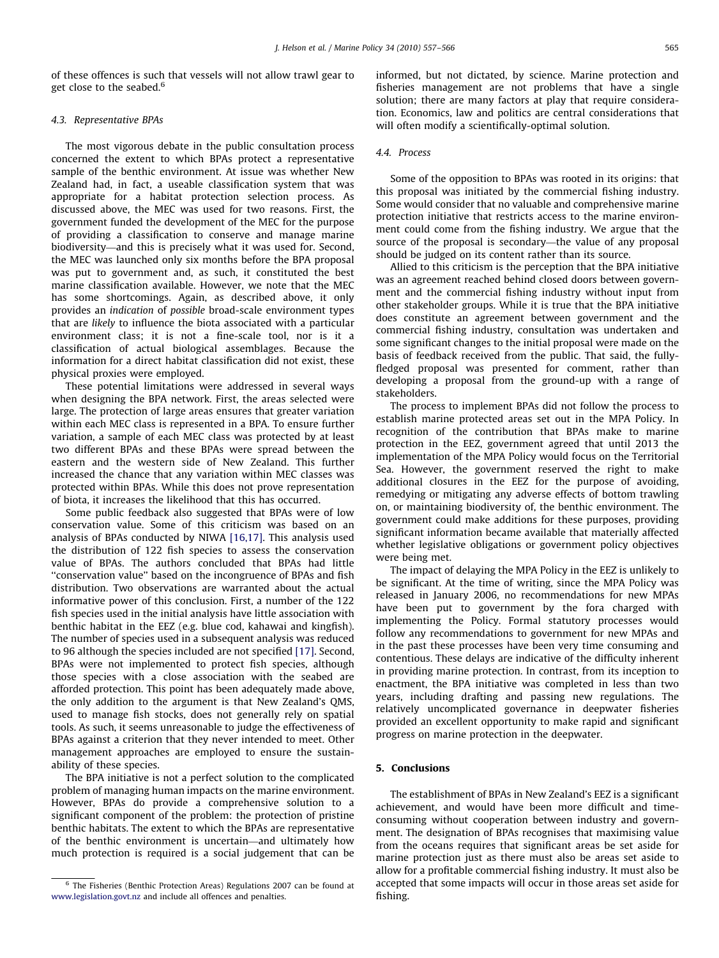of these offences is such that vessels will not allow trawl gear to get close to the seabed.<sup>6</sup>

## 4.3. Representative BPAs

The most vigorous debate in the public consultation process concerned the extent to which BPAs protect a representative sample of the benthic environment. At issue was whether New Zealand had, in fact, a useable classification system that was appropriate for a habitat protection selection process. As discussed above, the MEC was used for two reasons. First, the government funded the development of the MEC for the purpose of providing a classification to conserve and manage marine biodiversity—and this is precisely what it was used for. Second, the MEC was launched only six months before the BPA proposal was put to government and, as such, it constituted the best marine classification available. However, we note that the MEC has some shortcomings. Again, as described above, it only provides an indication of possible broad-scale environment types that are likely to influence the biota associated with a particular environment class; it is not a fine-scale tool, nor is it a classification of actual biological assemblages. Because the information for a direct habitat classification did not exist, these physical proxies were employed.

These potential limitations were addressed in several ways when designing the BPA network. First, the areas selected were large. The protection of large areas ensures that greater variation within each MEC class is represented in a BPA. To ensure further variation, a sample of each MEC class was protected by at least two different BPAs and these BPAs were spread between the eastern and the western side of New Zealand. This further increased the chance that any variation within MEC classes was protected within BPAs. While this does not prove representation of biota, it increases the likelihood that this has occurred.

Some public feedback also suggested that BPAs were of low conservation value. Some of this criticism was based on an analysis of BPAs conducted by NIWA [\[16,17\].](#page-9-0) This analysis used the distribution of 122 fish species to assess the conservation value of BPAs. The authors concluded that BPAs had little ''conservation value'' based on the incongruence of BPAs and fish distribution. Two observations are warranted about the actual informative power of this conclusion. First, a number of the 122 fish species used in the initial analysis have little association with benthic habitat in the EEZ (e.g. blue cod, kahawai and kingfish). The number of species used in a subsequent analysis was reduced to 96 although the species included are not specified [\[17\]](#page-9-0). Second, BPAs were not implemented to protect fish species, although those species with a close association with the seabed are afforded protection. This point has been adequately made above, the only addition to the argument is that New Zealand's QMS, used to manage fish stocks, does not generally rely on spatial tools. As such, it seems unreasonable to judge the effectiveness of BPAs against a criterion that they never intended to meet. Other management approaches are employed to ensure the sustainability of these species.

The BPA initiative is not a perfect solution to the complicated problem of managing human impacts on the marine environment. However, BPAs do provide a comprehensive solution to a significant component of the problem: the protection of pristine benthic habitats. The extent to which the BPAs are representative of the benthic environment is uncertain—and ultimately how much protection is required is a social judgement that can be informed, but not dictated, by science. Marine protection and fisheries management are not problems that have a single solution; there are many factors at play that require consideration. Economics, law and politics are central considerations that will often modify a scientifically-optimal solution.

#### 4.4. Process

Some of the opposition to BPAs was rooted in its origins: that this proposal was initiated by the commercial fishing industry. Some would consider that no valuable and comprehensive marine protection initiative that restricts access to the marine environment could come from the fishing industry. We argue that the source of the proposal is secondary—the value of any proposal should be judged on its content rather than its source.

Allied to this criticism is the perception that the BPA initiative was an agreement reached behind closed doors between government and the commercial fishing industry without input from other stakeholder groups. While it is true that the BPA initiative does constitute an agreement between government and the commercial fishing industry, consultation was undertaken and some significant changes to the initial proposal were made on the basis of feedback received from the public. That said, the fullyfledged proposal was presented for comment, rather than developing a proposal from the ground-up with a range of stakeholders.

The process to implement BPAs did not follow the process to establish marine protected areas set out in the MPA Policy. In recognition of the contribution that BPAs make to marine protection in the EEZ, government agreed that until 2013 the implementation of the MPA Policy would focus on the Territorial Sea. However, the government reserved the right to make additional closures in the EEZ for the purpose of avoiding, remedying or mitigating any adverse effects of bottom trawling on, or maintaining biodiversity of, the benthic environment. The government could make additions for these purposes, providing significant information became available that materially affected whether legislative obligations or government policy objectives were being met.

The impact of delaying the MPA Policy in the EEZ is unlikely to be significant. At the time of writing, since the MPA Policy was released in January 2006, no recommendations for new MPAs have been put to government by the fora charged with implementing the Policy. Formal statutory processes would follow any recommendations to government for new MPAs and in the past these processes have been very time consuming and contentious. These delays are indicative of the difficulty inherent in providing marine protection. In contrast, from its inception to enactment, the BPA initiative was completed in less than two years, including drafting and passing new regulations. The relatively uncomplicated governance in deepwater fisheries provided an excellent opportunity to make rapid and significant progress on marine protection in the deepwater.

# 5. Conclusions

The establishment of BPAs in New Zealand's EEZ is a significant achievement, and would have been more difficult and timeconsuming without cooperation between industry and government. The designation of BPAs recognises that maximising value from the oceans requires that significant areas be set aside for marine protection just as there must also be areas set aside to allow for a profitable commercial fishing industry. It must also be accepted that some impacts will occur in those areas set aside for fishing.

<sup>6</sup> The Fisheries (Benthic Protection Areas) Regulations 2007 can be found at <www.legislation.govt.nz> and include all offences and penalties.